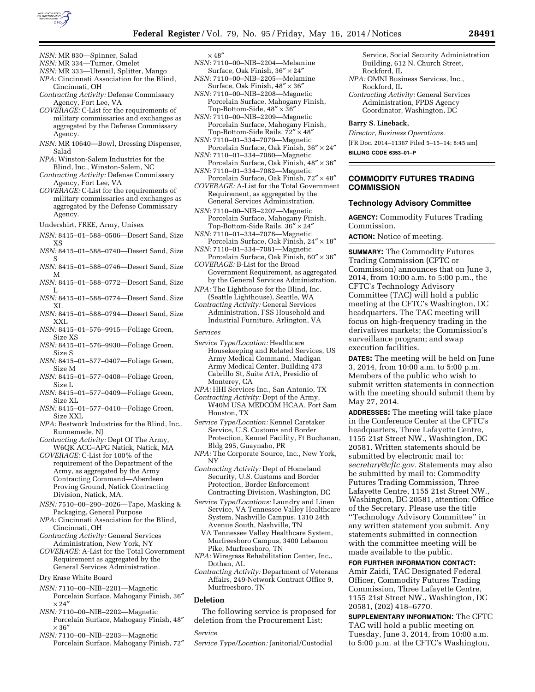

- *NSN:* MR 830—Spinner, Salad
- *NSN:* MR 334—Turner, Omelet
- *NSN:* MR 333—Utensil, Splitter, Mango *NPA:* Cincinnati Association for the Blind, Cincinnati, OH
- *Contracting Activity:* Defense Commissary Agency, Fort Lee, VA
- *COVERAGE:* C-List for the requirements of military commissaries and exchanges as aggregated by the Defense Commissary Agency.
- *NSN:* MR 10640—Bowl, Dressing Dispenser, Salad
- *NPA:* Winston-Salem Industries for the Blind, Inc., Winston-Salem, NC
- *Contracting Activity:* Defense Commissary Agency, Fort Lee, VA
- *COVERAGE:* C-List for the requirements of military commissaries and exchanges as aggregated by the Defense Commissary Agency.
- Undershirt, FREE, Army, Unisex
- *NSN:* 8415–01–588–0506—Desert Sand, Size XS
- *NSN:* 8415–01–588–0740—Desert Sand, Size S
- *NSN:* 8415–01–588–0746—Desert Sand, Size M
- *NSN:* 8415–01–588–0772—Desert Sand, Size L
- *NSN:* 8415–01–588–0774—Desert Sand, Size XL
- *NSN:* 8415–01–588–0794—Desert Sand, Size XXL
- *NSN:* 8415–01–576–9915—Foliage Green, Size XS
- *NSN:* 8415–01–576–9930—Foliage Green, Size S
- *NSN:* 8415–01–577–0407—Foliage Green, Size M
- *NSN:* 8415–01–577–0408—Foliage Green, Size L
- *NSN:* 8415–01–577–0409—Foliage Green, Size XL
- *NSN:* 8415–01–577–0410—Foliage Green, Size XXL
- *NPA:* Bestwork Industries for the Blind, Inc., Runnemede, NJ
- *Contracting Activity:* Dept Of The Army, W6QK ACC–APG Natick, Natick, MA
- *COVERAGE:* C-List for 100% of the requirement of the Department of the Army, as aggregated by the Army Contracting Command—Aberdeen Proving Ground, Natick Contracting Division, Natick, MA.
- *NSN:* 7510–00–290–2026—Tape, Masking & Packaging, General Purpose
- *NPA:* Cincinnati Association for the Blind, Cincinnati, OH
- *Contracting Activity:* General Services Administration, New York, NY
- *COVERAGE:* A-List for the Total Government Requirement as aggregated by the General Services Administration.
- Dry Erase White Board
- *NSN:* 7110–00–NIB–2201—Magnetic Porcelain Surface, Mahogany Finish, 36″  $\times$  24 $^{\prime\prime}$
- *NSN:* 7110–00–NIB–2202—Magnetic Porcelain Surface, Mahogany Finish, 48″  $\times$  36"
- *NSN:* 7110–00–NIB–2203—Magnetic Porcelain Surface, Mahogany Finish, 72″

# $\times\,48''$

- *NSN:* 7110–00–NIB–2204—Melamine Surface, Oak Finish, 36″ × 24″
- *NSN:* 7110–00–NIB–2205—Melamine Surface, Oak Finish, 48″ × 36″ *NSN:* 7110–00–NIB–2208—Magnetic
- Porcelain Surface, Mahogany Finish, Top-Bottom-Side,  $48'' \times 36''$
- *NSN:* 7110–00–NIB–2209—Magnetic Porcelain Surface, Mahogany Finish, Top-Bottom-Side Rails, 72″ × 48″
- *NSN:* 7110–01–334–7079—Magnetic Porcelain Surface, Oak Finish, 36″ × 24″ *NSN:* 7110–01–334–7080—Magnetic
- Porcelain Surface, Oak Finish, 48″ × 36″ *NSN:* 7110–01–334–7082—Magnetic
- Porcelain Surface, Oak Finish, 72″ × 48″
- *COVERAGE:* A-List for the Total Government Requirement, as aggregated by the General Services Administration.
- *NSN:* 7110–00–NIB–2207—Magnetic Porcelain Surface, Mahogany Finish, Top-Bottom-Side Rails,  $36'' \times 24''$
- *NSN:* 7110–01–334–7078—Magnetic Porcelain Surface, Oak Finish, 24″ × 18″ *NSN:* 7110–01–334–7081—Magnetic
- Porcelain Surface, Oak Finish, 60″ × 36″ *COVERAGE:* B-List for the Broad
- Government Requirement, as aggregated by the General Services Administration.
- *NPA:* The Lighthouse for the Blind, Inc. (Seattle Lighthouse), Seattle, WA
- *Contracting Activity:* General Services Administration, FSS Household and Industrial Furniture, Arlington, VA

*Services* 

- *Service Type/Location:* Healthcare Housekeeping and Related Services, US Army Medical Command, Madigan Army Medical Center, Building 473 Cabrillo St, Suite A1A, Presidio of Monterey, CA
- *NPA:* HHI Services Inc., San Antonio, TX
- *Contracting Activity:* Dept of the Army, W40M USA MEDCOM HCAA, Fort Sam Houston, TX
- *Service Type/Location:* Kennel Caretaker Service, U.S. Customs and Border Protection, Kennel Facility, Ft Buchanan, Bldg 295, Guaynabo, PR
- *NPA:* The Corporate Source, Inc., New York, NY
- *Contracting Activity:* Dept of Homeland Security, U.S. Customs and Border Protection, Border Enforcement Contracting Division, Washington, DC
- *Service Type/Locations:* Laundry and Linen Service, VA Tennessee Valley Healthcare System, Nashville Campus, 1310 24th Avenue South, Nashville, TN
- VA Tennessee Valley Healthcare System, Murfreesboro Campus, 3400 Lebanon Pike, Murfreesboro, TN
- *NPA:* Wiregrass Rehabilitation Center, Inc., Dothan, AL
- *Contracting Activity:* Department of Veterans Affairs, 249-Network Contract Office 9, Murfreesboro, TN

## **Deletion**

The following service is proposed for deletion from the Procurement List:

#### *Service*

*Service Type/Location:* Janitorial/Custodial

Service, Social Security Administration Building, 612 N. Church Street, Rockford, IL

- *NPA:* OMNI Business Services, Inc., Rockford, IL
- *Contracting Activity:* General Services Administration, FPDS Agency Coordinator, Washington, DC

#### **Barry S. Lineback,**

*Director, Business Operations.*  [FR Doc. 2014–11367 Filed 5–15–14; 8:45 am] **BILLING CODE 6353–01–P** 

## **COMMODITY FUTURES TRADING COMMISSION**

# **Technology Advisory Committee**

**AGENCY:** Commodity Futures Trading Commission.

**ACTION:** Notice of meeting.

**SUMMARY:** The Commodity Futures Trading Commission (CFTC or Commission) announces that on June 3, 2014, from 10:00 a.m. to 5:00 p.m., the CFTC's Technology Advisory Committee (TAC) will hold a public meeting at the CFTC's Washington, DC headquarters. The TAC meeting will focus on high-frequency trading in the derivatives markets; the Commission's surveillance program; and swap execution facilities.

**DATES:** The meeting will be held on June 3, 2014, from 10:00 a.m. to 5:00 p.m. Members of the public who wish to submit written statements in connection with the meeting should submit them by May 27, 2014.

**ADDRESSES:** The meeting will take place in the Conference Center at the CFTC's headquarters, Three Lafayette Centre, 1155 21st Street NW., Washington, DC 20581. Written statements should be submitted by electronic mail to: *[secretary@cftc.gov.](mailto:secretary@cftc.gov)* Statements may also be submitted by mail to: Commodity Futures Trading Commission, Three Lafayette Centre, 1155 21st Street NW., Washington, DC 20581, attention: Office of the Secretary. Please use the title ''Technology Advisory Committee'' in any written statement you submit. Any statements submitted in connection with the committee meeting will be made available to the public.

#### **FOR FURTHER INFORMATION CONTACT:**

Amir Zaidi, TAC Designated Federal Officer, Commodity Futures Trading Commission, Three Lafayette Centre, 1155 21st Street NW., Washington, DC 20581, (202) 418–6770.

**SUPPLEMENTARY INFORMATION:** The CFTC TAC will hold a public meeting on Tuesday, June 3, 2014, from 10:00 a.m. to 5:00 p.m. at the CFTC's Washington,